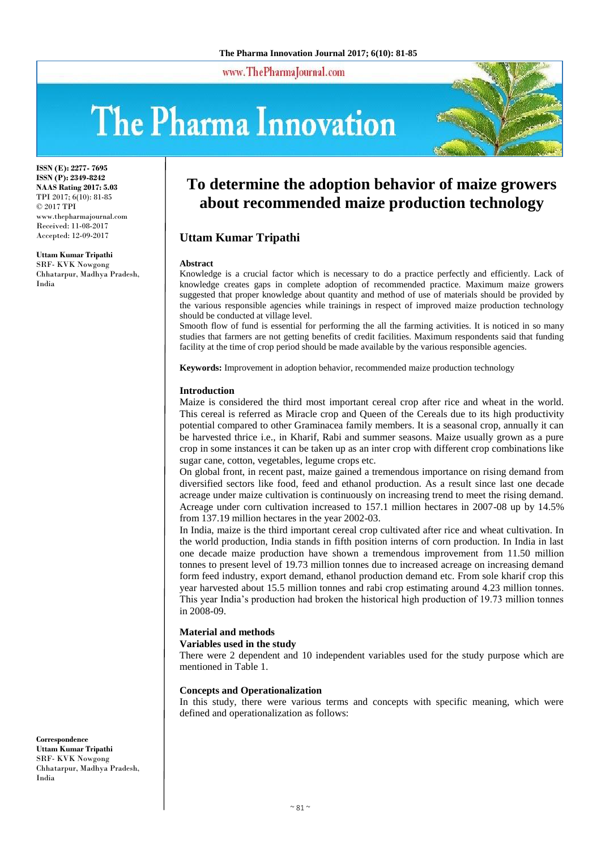www.ThePharmaJournal.com

# The Pharma Innovation



**ISSN (E): 2277- 7695 ISSN (P): 2349-8242 NAAS Rating 2017: 5.03** TPI 2017; 6(10): 81-85 © 2017 TPI www.thepharmajournal.com Received: 11-08-2017 Accepted: 12-09-2017

#### **Uttam Kumar Tripathi**

SRF- KVK Nowgong Chhatarpur, Madhya Pradesh, India

# **To determine the adoption behavior of maize growers about recommended maize production technology**

# **Uttam Kumar Tripathi**

#### **Abstract**

Knowledge is a crucial factor which is necessary to do a practice perfectly and efficiently. Lack of knowledge creates gaps in complete adoption of recommended practice. Maximum maize growers suggested that proper knowledge about quantity and method of use of materials should be provided by the various responsible agencies while trainings in respect of improved maize production technology should be conducted at village level.

Smooth flow of fund is essential for performing the all the farming activities. It is noticed in so many studies that farmers are not getting benefits of credit facilities. Maximum respondents said that funding facility at the time of crop period should be made available by the various responsible agencies.

**Keywords:** Improvement in adoption behavior, recommended maize production technology

#### **Introduction**

Maize is considered the third most important cereal crop after rice and wheat in the world. This cereal is referred as Miracle crop and Queen of the Cereals due to its high productivity potential compared to other Graminacea family members. It is a seasonal crop, annually it can be harvested thrice i.e., in Kharif, Rabi and summer seasons. Maize usually grown as a pure crop in some instances it can be taken up as an inter crop with different crop combinations like sugar cane, cotton, vegetables, legume crops etc.

On global front, in recent past, maize gained a tremendous importance on rising demand from diversified sectors like food, feed and ethanol production. As a result since last one decade acreage under maize cultivation is continuously on increasing trend to meet the rising demand. Acreage under corn cultivation increased to 157.1 million hectares in 2007-08 up by 14.5% from 137.19 million hectares in the year 2002-03.

In India, maize is the third important cereal crop cultivated after rice and wheat cultivation. In the world production, India stands in fifth position interns of corn production. In India in last one decade maize production have shown a tremendous improvement from 11.50 million tonnes to present level of 19.73 million tonnes due to increased acreage on increasing demand form feed industry, export demand, ethanol production demand etc. From sole kharif crop this year harvested about 15.5 million tonnes and rabi crop estimating around 4.23 million tonnes. This year India's production had broken the historical high production of 19.73 million tonnes in 2008-09.

#### **Material and methods**

#### **Variables used in the study**

There were 2 dependent and 10 independent variables used for the study purpose which are mentioned in Table 1.

#### **Concepts and Operationalization**

In this study, there were various terms and concepts with specific meaning, which were defined and operationalization as follows:

**Correspondence Uttam Kumar Tripathi** SRF- KVK Nowgong Chhatarpur, Madhya Pradesh, India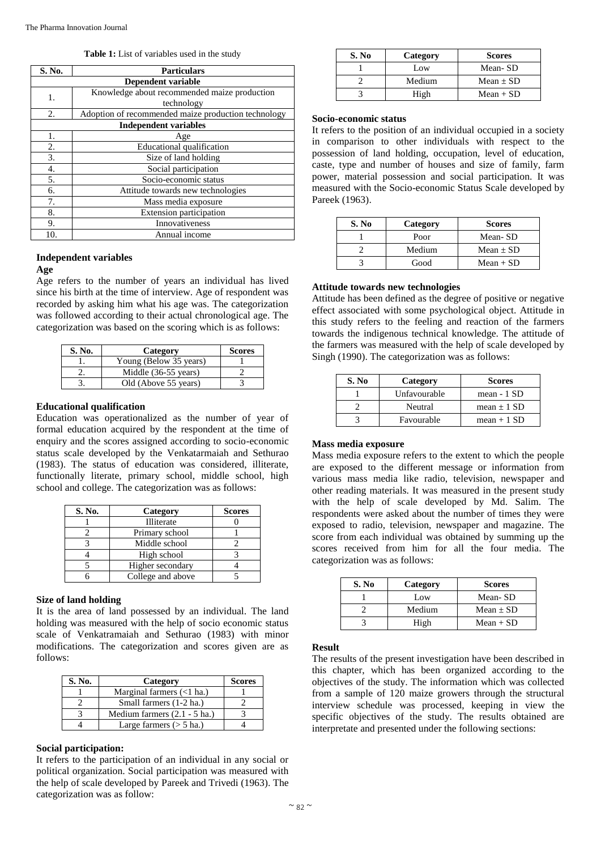**Table 1:** List of variables used in the study

| S. No.             | <b>Particulars</b>                                  |  |  |  |  |
|--------------------|-----------------------------------------------------|--|--|--|--|
| Dependent variable |                                                     |  |  |  |  |
| 1.                 | Knowledge about recommended maize production        |  |  |  |  |
|                    | technology                                          |  |  |  |  |
| 2.                 | Adoption of recommended maize production technology |  |  |  |  |
|                    | <b>Independent variables</b>                        |  |  |  |  |
| 1.                 | Age                                                 |  |  |  |  |
| 2.                 | <b>Educational qualification</b>                    |  |  |  |  |
| 3.                 | Size of land holding                                |  |  |  |  |
| 4.                 | Social participation                                |  |  |  |  |
| 5.                 | Socio-economic status                               |  |  |  |  |
| 6.                 | Attitude towards new technologies                   |  |  |  |  |
| 7.                 | Mass media exposure                                 |  |  |  |  |
| 8.                 | <b>Extension participation</b>                      |  |  |  |  |
| 9.                 | Innovativeness                                      |  |  |  |  |
| 10.                | Annual income                                       |  |  |  |  |

# **Independent variables**

#### **Age**

Age refers to the number of years an individual has lived since his birth at the time of interview. Age of respondent was recorded by asking him what his age was. The categorization was followed according to their actual chronological age. The categorization was based on the scoring which is as follows:

| S. No. | Category               | <b>Scores</b> |
|--------|------------------------|---------------|
|        | Young (Below 35 years) |               |
|        | Middle (36-55 years)   |               |
|        | Old (Above 55 years)   |               |

# **Educational qualification**

Education was operationalized as the number of year of formal education acquired by the respondent at the time of enquiry and the scores assigned according to socio-economic status scale developed by the Venkatarmaiah and Sethurao (1983). The status of education was considered, illiterate, functionally literate, primary school, middle school, high school and college. The categorization was as follows:

| S. No. | Category          | <b>Scores</b> |
|--------|-------------------|---------------|
|        | <b>Illiterate</b> |               |
|        | Primary school    |               |
|        | Middle school     |               |
|        | High school       |               |
|        | Higher secondary  |               |
|        | College and above |               |

# **Size of land holding**

It is the area of land possessed by an individual. The land holding was measured with the help of socio economic status scale of Venkatramaiah and Sethurao (1983) with minor modifications. The categorization and scores given are as follows:

| S. No. | Category                       | <b>Scores</b> |
|--------|--------------------------------|---------------|
|        | Marginal farmers $(<1$ ha.)    |               |
|        | Small farmers (1-2 ha.)        |               |
|        | Medium farmers $(2.1 - 5$ ha.) |               |
|        | Large farmers $($ > 5 ha.)     |               |

# **Social participation:**

It refers to the participation of an individual in any social or political organization. Social participation was measured with the help of scale developed by Pareek and Trivedi (1963). The categorization was as follow:

| S. No | Category | <b>Scores</b> |
|-------|----------|---------------|
|       | Low      | Mean-SD       |
|       | Medium   | Mean $\pm$ SD |
|       | High     | $Mean + SD$   |

# **Socio-economic status**

It refers to the position of an individual occupied in a society in comparison to other individuals with respect to the possession of land holding, occupation, level of education, caste, type and number of houses and size of family, farm power, material possession and social participation. It was measured with the Socio-economic Status Scale developed by Pareek (1963).

| S. No | Category | <b>Scores</b> |
|-------|----------|---------------|
|       | Poor     | Mean-SD       |
|       | Medium   | Mean $\pm$ SD |
|       | Good     | $Mean + SD$   |

# **Attitude towards new technologies**

Attitude has been defined as the degree of positive or negative effect associated with some psychological object. Attitude in this study refers to the feeling and reaction of the farmers towards the indigenous technical knowledge. The attitude of the farmers was measured with the help of scale developed by Singh (1990). The categorization was as follows:

| S. No | Category     | <b>Scores</b>   |
|-------|--------------|-----------------|
|       | Unfavourable | mean - 1 SD     |
|       | Neutral      | mean $\pm$ 1 SD |
|       | Favourable   | mean + $1$ SD   |

# **Mass media exposure**

Mass media exposure refers to the extent to which the people are exposed to the different message or information from various mass media like radio, television, newspaper and other reading materials. It was measured in the present study with the help of scale developed by Md. Salim. The respondents were asked about the number of times they were exposed to radio, television, newspaper and magazine. The score from each individual was obtained by summing up the scores received from him for all the four media. The categorization was as follows:

| S. No | Category | <b>Scores</b> |
|-------|----------|---------------|
|       | Low      | Mean-SD       |
|       | Medium   | Mean $\pm$ SD |
|       | High     | $Mean + SD$   |

# **Result**

The results of the present investigation have been described in this chapter, which has been organized according to the objectives of the study. The information which was collected from a sample of 120 maize growers through the structural interview schedule was processed, keeping in view the specific objectives of the study. The results obtained are interpretate and presented under the following sections: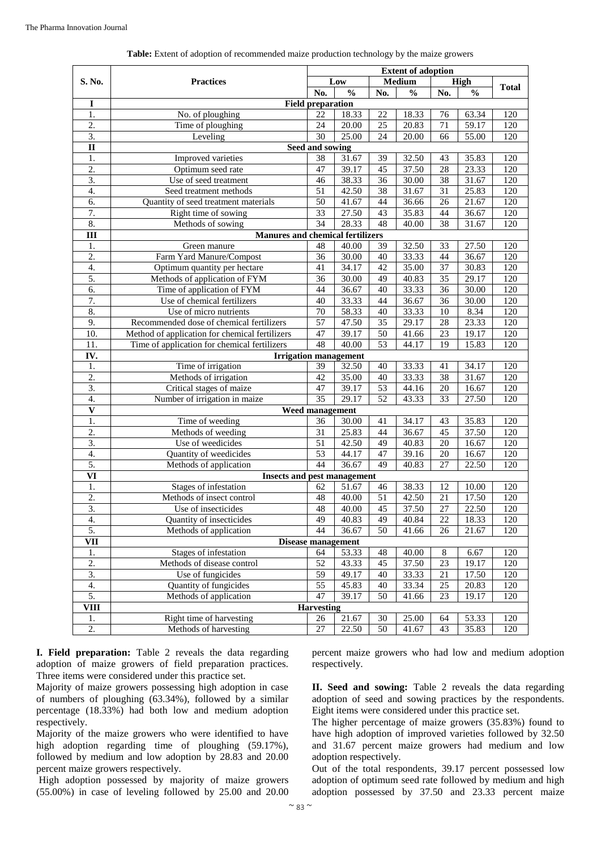|                  | <b>Practices</b>                               |                          | <b>Extent of adoption</b> |                 |                    |     |               |     |
|------------------|------------------------------------------------|--------------------------|---------------------------|-----------------|--------------------|-----|---------------|-----|
| S. No.           |                                                |                          | Low                       |                 | Medium             |     | High          |     |
|                  |                                                | No.                      | $\frac{0}{0}$             | No.             | $\frac{0}{0}$      | No. | $\frac{0}{0}$ |     |
| I                |                                                | <b>Field preparation</b> |                           |                 |                    |     |               |     |
| 1.               | No. of ploughing                               | 22                       | 18.33                     | 22              | 18.33              | 76  | 63.34         | 120 |
| 2.               | Time of ploughing                              | 24                       | 20.00                     | 25              | 20.83              | 71  | 59.17         | 120 |
| $\overline{3}$ . | Leveling                                       | 30                       | 25.00                     | 24              | 20.00              | 66  | 55.00         | 120 |
| $\mathbf{I}$     |                                                | Seed and sowing          |                           |                 |                    |     |               |     |
| 1.               | Improved varieties                             | 38                       | 31.67                     | 39              | 32.50              | 43  | 35.83         | 120 |
| 2.               | Optimum seed rate                              | 47                       | 39.17                     | 45              | 37.50              | 28  | 23.33         | 120 |
| $\overline{3}$ . | Use of seed treatment                          | 46                       | 38.33                     | 36              | 30.00              | 38  | 31.67         | 120 |
| 4.               | Seed treatment methods                         | 51                       | 42.50                     | 38              | 31.67              | 31  | 25.83         | 120 |
| 6.               | Quantity of seed treatment materials           | 50                       | 41.67                     | 44              | 36.66              | 26  | 21.67         | 120 |
| 7.               | Right time of sowing                           | 33                       | 27.50                     | 43              | 35.83              | 44  | 36.67         | 120 |
| 8.               | Methods of sowing                              | $\overline{34}$          | 28.33                     | 48              | 40.00              | 38  | 31.67         | 120 |
| Ш                | <b>Manures and chemical fertilizers</b>        |                          |                           |                 |                    |     |               |     |
| 1.               | Green manure                                   | 48                       | 40.00                     | 39              | 32.50              | 33  | 27.50         | 120 |
| 2.               | Farm Yard Manure/Compost                       | 36                       | 30.00                     | 40              | 33.33              | 44  | 36.67         | 120 |
| 4.               | Optimum quantity per hectare                   | 41                       | 34.17                     | 42              | 35.00              | 37  | 30.83         | 120 |
| 5.               | Methods of application of FYM                  | 36                       | 30.00                     | 49              | 40.83              | 35  | 29.17         | 120 |
| 6.               | Time of application of FYM                     | 44                       | 36.67                     | 40              | 33.33              | 36  | 30.00         | 120 |
| 7.               | Use of chemical fertilizers                    | 40                       | 33.33                     | 44              | 36.67              | 36  | 30.00         | 120 |
| 8.               | Use of micro nutrients                         | 70                       | 58.33                     | 40              | 33.33              | 10  | 8.34          | 120 |
| 9.               | Recommended dose of chemical fertilizers       | $\overline{57}$          | 47.50                     | $\overline{35}$ | 29.17              | 28  | 23.33         | 120 |
| 10.              | Method of application for chemical fertilizers | 47                       | 39.17                     | 50              | 41.66              | 23  | 19.17         | 120 |
| 11.              | Time of application for chemical fertilizers   | 48                       | 40.00                     | 53              | 44.17              | 19  | 15.83         | 120 |
| IV.              | <b>Irrigation management</b>                   |                          |                           |                 |                    |     |               |     |
| 1.               | Time of irrigation                             | 39                       | 32.50                     | 40              | 33.33              | 41  | 34.17         | 120 |
| $\overline{2}$ . | Methods of irrigation                          | 42                       | 35.00                     | 40              | 33.33              | 38  | 31.67         | 120 |
| 3.               | Critical stages of maize                       | 47                       | 39.17                     | $\overline{53}$ | $\overline{44.16}$ | 20  | 16.67         | 120 |
| 4.               | Number of irrigation in maize                  | 35                       | 29.17                     | 52              | 43.33              | 33  | 27.50         | 120 |
| $\mathbf{V}$     |                                                | Weed management          |                           |                 |                    |     |               |     |
| 1.               | Time of weeding                                | 36                       | 30.00                     | 41              | 34.17              | 43  | 35.83         | 120 |
| 2.               | Methods of weeding                             | 31                       | 25.83                     | 44              | 36.67              | 45  | 37.50         | 120 |
| 3.               | Use of weedicides                              | 51                       | 42.50                     | 49              | 40.83              | 20  | 16.67         | 120 |
| 4.               | Quantity of weedicides                         | 53                       | 44.17                     | 47              | 39.16              | 20  | 16.67         | 120 |
| 5.               | Methods of application                         | 44                       | 36.67                     | 49              | 40.83              | 27  | 22.50         | 120 |
| VI               | <b>Insects and pest management</b>             |                          |                           |                 |                    |     |               |     |
| 1.               | Stages of infestation                          | 62                       | 51.67                     | 46              | 38.33              | 12  | 10.00         | 120 |
| 2.               | Methods of insect control                      | 48                       | 40.00                     | 51              | 42.50              | 21  | 17.50         | 120 |
| 3.               | Use of insecticides                            | 48                       | 40.00                     | 45              | 37.50              | 27  | 22.50         | 120 |
| 4.               | Quantity of insecticides                       | 49                       | 40.83                     | 49              | 40.84              | 22  | 18.33         | 120 |
| 5.               | Methods of application                         | 44                       | 36.67                     | 50              | 41.66              | 26  | 21.67         | 120 |
|                  | <b>VII</b><br><b>Disease management</b>        |                          |                           |                 |                    |     |               |     |
| $1.$             | Stages of infestation                          | 64                       | 53.33                     | 48              | $\overline{40.00}$ | 8   | 6.67          | 120 |
| 2.               | Methods of disease control                     | 52                       | $\overline{4}3.33$        | 45              | $\frac{37.50}{ }$  | 23  | 19.17         | 120 |
| 3.               | Use of fungicides                              | 59                       | 49.17                     | 40              | 33.33              | 21  | 17.50         | 120 |
| 4.               | Quantity of fungicides                         | 55                       | 45.83                     | 40              | 33.34              | 25  | 20.83         | 120 |
| 5.               | Methods of application                         | 47                       | 39.17                     | 50              | 41.66              | 23  | 19.17         | 120 |
| <b>VIII</b>      | <b>Harvesting</b>                              |                          |                           |                 |                    |     |               |     |
| 1.               | Right time of harvesting                       | 26                       | 21.67                     | 30              | 25.00              | 64  | 53.33         | 120 |
| 2.               | Methods of harvesting                          | 27                       | 22.50                     | 50              | 41.67              | 43  | 35.83         | 120 |

**Table:** Extent of adoption of recommended maize production technology by the maize growers

**I. Field preparation:** Table 2 reveals the data regarding adoption of maize growers of field preparation practices. Three items were considered under this practice set.

Majority of maize growers possessing high adoption in case of numbers of ploughing (63.34%), followed by a similar percentage (18.33%) had both low and medium adoption respectively.

Majority of the maize growers who were identified to have high adoption regarding time of ploughing  $(59.17\%)$ , followed by medium and low adoption by 28.83 and 20.00 percent maize growers respectively.

High adoption possessed by majority of maize growers (55.00%) in case of leveling followed by 25.00 and 20.00 percent maize growers who had low and medium adoption respectively.

**II. Seed and sowing:** Table 2 reveals the data regarding adoption of seed and sowing practices by the respondents. Eight items were considered under this practice set.

The higher percentage of maize growers (35.83%) found to have high adoption of improved varieties followed by 32.50 and 31.67 percent maize growers had medium and low adoption respectively.

Out of the total respondents, 39.17 percent possessed low adoption of optimum seed rate followed by medium and high adoption possessed by 37.50 and 23.33 percent maize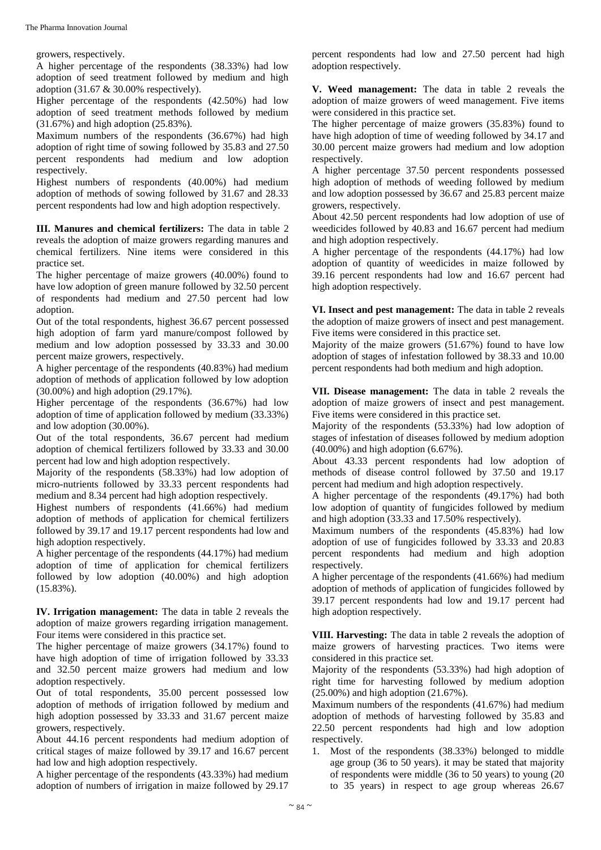growers, respectively.

A higher percentage of the respondents (38.33%) had low adoption of seed treatment followed by medium and high adoption (31.67 & 30.00% respectively).

Higher percentage of the respondents (42.50%) had low adoption of seed treatment methods followed by medium (31.67%) and high adoption (25.83%).

Maximum numbers of the respondents (36.67%) had high adoption of right time of sowing followed by 35.83 and 27.50 percent respondents had medium and low adoption respectively.

Highest numbers of respondents (40.00%) had medium adoption of methods of sowing followed by 31.67 and 28.33 percent respondents had low and high adoption respectively.

**III. Manures and chemical fertilizers:** The data in table 2 reveals the adoption of maize growers regarding manures and chemical fertilizers. Nine items were considered in this practice set.

The higher percentage of maize growers (40.00%) found to have low adoption of green manure followed by 32.50 percent of respondents had medium and 27.50 percent had low adoption.

Out of the total respondents, highest 36.67 percent possessed high adoption of farm yard manure/compost followed by medium and low adoption possessed by 33.33 and 30.00 percent maize growers, respectively.

A higher percentage of the respondents (40.83%) had medium adoption of methods of application followed by low adoption (30.00%) and high adoption (29.17%).

Higher percentage of the respondents (36.67%) had low adoption of time of application followed by medium (33.33%) and low adoption (30.00%).

Out of the total respondents, 36.67 percent had medium adoption of chemical fertilizers followed by 33.33 and 30.00 percent had low and high adoption respectively.

Majority of the respondents (58.33%) had low adoption of micro-nutrients followed by 33.33 percent respondents had medium and 8.34 percent had high adoption respectively.

Highest numbers of respondents (41.66%) had medium adoption of methods of application for chemical fertilizers followed by 39.17 and 19.17 percent respondents had low and high adoption respectively.

A higher percentage of the respondents (44.17%) had medium adoption of time of application for chemical fertilizers followed by low adoption (40.00%) and high adoption (15.83%).

**IV. Irrigation management:** The data in table 2 reveals the adoption of maize growers regarding irrigation management. Four items were considered in this practice set.

The higher percentage of maize growers (34.17%) found to have high adoption of time of irrigation followed by 33.33 and 32.50 percent maize growers had medium and low adoption respectively.

Out of total respondents, 35.00 percent possessed low adoption of methods of irrigation followed by medium and high adoption possessed by 33.33 and 31.67 percent maize growers, respectively.

About 44.16 percent respondents had medium adoption of critical stages of maize followed by 39.17 and 16.67 percent had low and high adoption respectively.

A higher percentage of the respondents (43.33%) had medium adoption of numbers of irrigation in maize followed by 29.17 percent respondents had low and 27.50 percent had high adoption respectively.

**V. Weed management:** The data in table 2 reveals the adoption of maize growers of weed management. Five items were considered in this practice set.

The higher percentage of maize growers (35.83%) found to have high adoption of time of weeding followed by 34.17 and 30.00 percent maize growers had medium and low adoption respectively.

A higher percentage 37.50 percent respondents possessed high adoption of methods of weeding followed by medium and low adoption possessed by 36.67 and 25.83 percent maize growers, respectively.

About 42.50 percent respondents had low adoption of use of weedicides followed by 40.83 and 16.67 percent had medium and high adoption respectively.

A higher percentage of the respondents (44.17%) had low adoption of quantity of weedicides in maize followed by 39.16 percent respondents had low and 16.67 percent had high adoption respectively.

**VI. Insect and pest management:** The data in table 2 reveals the adoption of maize growers of insect and pest management. Five items were considered in this practice set.

Majority of the maize growers (51.67%) found to have low adoption of stages of infestation followed by 38.33 and 10.00 percent respondents had both medium and high adoption.

**VII. Disease management:** The data in table 2 reveals the adoption of maize growers of insect and pest management. Five items were considered in this practice set.

Majority of the respondents (53.33%) had low adoption of stages of infestation of diseases followed by medium adoption (40.00%) and high adoption (6.67%).

About 43.33 percent respondents had low adoption of methods of disease control followed by 37.50 and 19.17 percent had medium and high adoption respectively.

A higher percentage of the respondents (49.17%) had both low adoption of quantity of fungicides followed by medium and high adoption (33.33 and 17.50% respectively).

Maximum numbers of the respondents (45.83%) had low adoption of use of fungicides followed by 33.33 and 20.83 percent respondents had medium and high adoption respectively.

A higher percentage of the respondents (41.66%) had medium adoption of methods of application of fungicides followed by 39.17 percent respondents had low and 19.17 percent had high adoption respectively.

**VIII. Harvesting:** The data in table 2 reveals the adoption of maize growers of harvesting practices. Two items were considered in this practice set.

Majority of the respondents (53.33%) had high adoption of right time for harvesting followed by medium adoption (25.00%) and high adoption (21.67%).

Maximum numbers of the respondents (41.67%) had medium adoption of methods of harvesting followed by 35.83 and 22.50 percent respondents had high and low adoption respectively.

1. Most of the respondents (38.33%) belonged to middle age group (36 to 50 years). it may be stated that majority of respondents were middle (36 to 50 years) to young (20 to 35 years) in respect to age group whereas 26.67